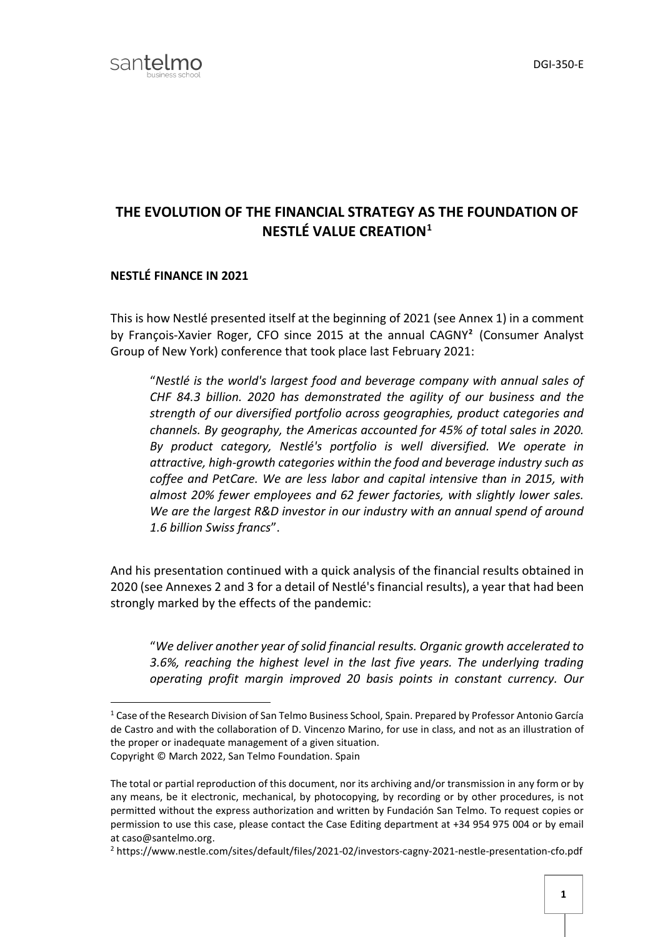## **THE EVOLUTION OF THE FINANCIAL STRATEGY AS THE FOUNDATION OF NESTLÉ VALUE CREATION[1](#page-0-0)**

## **NESTLÉ FINANCE IN 2021**

This is how Nestlé presented itself at the beginning of 2021 (see Annex 1) in a comment by François-Xavier Roger, CFO since 2015 at the annual [CAGNY](http://consumeranalystgroupny.com/)**[2](#page-0-1)** (Consumer Analyst Group of New York) conference that took place last February 2021:

"*Nestlé is the world's largest food and beverage company with annual sales of CHF 84.3 billion. 2020 has demonstrated the agility of our business and the strength of our diversified portfolio across geographies, product categories and channels. By geography, the Americas accounted for 45% of total sales in 2020. By product category, Nestlé's portfolio is well diversified. We operate in attractive, high-growth categories within the food and beverage industry such as coffee and PetCare. We are less labor and capital intensive than in 2015, with almost 20% fewer employees and 62 fewer factories, with slightly lower sales. We are the largest R&D investor in our industry with an annual spend of around 1.6 billion Swiss francs*".

And his presentation continued with a quick analysis of the financial results obtained in 2020 (see Annexes 2 and 3 for a detail of Nestlé's financial results), a year that had been strongly marked by the effects of the pandemic:

"*We deliver another year of solid financial results. Organic growth accelerated to 3.6%, reaching the highest level in the last five years. The underlying trading operating profit margin improved 20 basis points in constant currency. Our* 

<span id="page-0-0"></span><sup>&</sup>lt;sup>1</sup> Case of the Research Division of San Telmo Business School, Spain. Prepared by Professor Antonio García de Castro and with the collaboration of D. Vincenzo Marino, for use in class, and not as an illustration of the proper or inadequate management of a given situation. Copyright © March 2022, San Telmo Foundation. Spain

The total or partial reproduction of this document, nor its archiving and/or transmission in any form or by any means, be it electronic, mechanical, by photocopying, by recording or by other procedures, is not permitted without the express authorization and written by Fundación San Telmo. To request copies or permission to use this case, please contact the Case Editing department at +34 954 975 004 or by email at caso@santelmo.org.

<span id="page-0-1"></span><sup>2</sup> https://www.nestle.com/sites/default/files/2021-02/investors-cagny-2021-nestle-presentation-cfo.pdf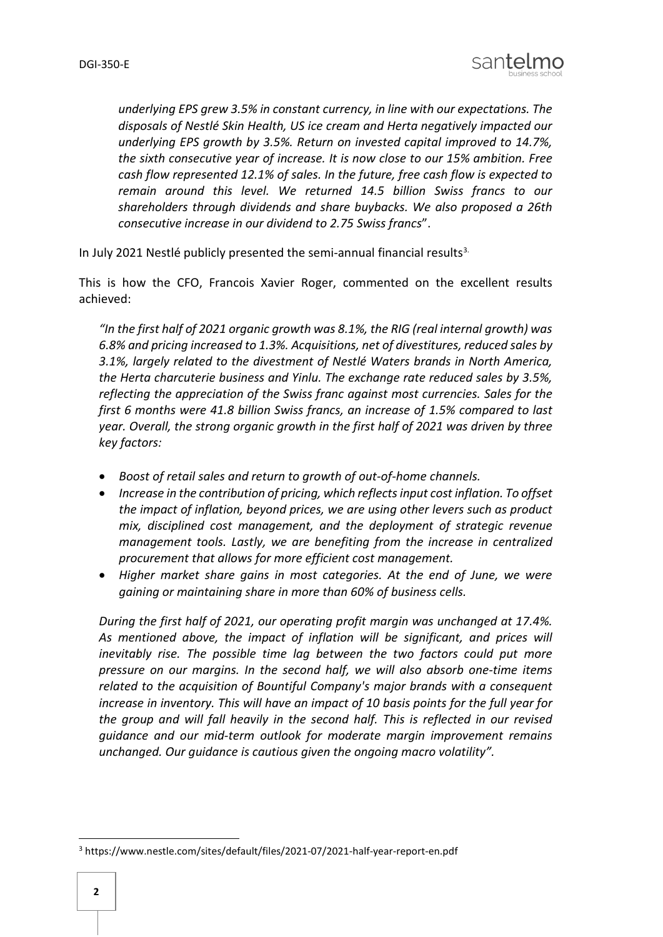

*underlying EPS grew 3.5% in constant currency, in line with our expectations. The disposals of Nestlé Skin Health, US ice cream and Herta negatively impacted our underlying EPS growth by 3.5%. Return on invested capital improved to 14.7%, the sixth consecutive year of increase. It is now close to our 15% ambition. Free cash flow represented 12.1% of sales. In the future, free cash flow is expected to remain around this level. We returned 14.5 billion Swiss francs to our shareholders through dividends and share buybacks. We also proposed a 26th consecutive increase in our dividend to 2.75 Swiss francs*".

In July 2021 Nestlé publicly presented the semi-annual financial results $3$ .

This is how the CFO, Francois Xavier Roger, commented on the excellent results achieved:

*"In the first half of 2021 organic growth was 8.1%, the RIG (real internal growth) was 6.8% and pricing increased to 1.3%. Acquisitions, net of divestitures, reduced sales by 3.1%, largely related to the divestment of Nestlé Waters brands in North America, the Herta charcuterie business and Yinlu. The exchange rate reduced sales by 3.5%, reflecting the appreciation of the Swiss franc against most currencies. Sales for the first 6 months were 41.8 billion Swiss francs, an increase of 1.5% compared to last year. Overall, the strong organic growth in the first half of 2021 was driven by three key factors:*

- *Boost of retail sales and return to growth of out-of-home channels.*
- *Increase in the contribution of pricing, which reflects input cost inflation. To offset the impact of inflation, beyond prices, we are using other levers such as product mix, disciplined cost management, and the deployment of strategic revenue management tools. Lastly, we are benefiting from the increase in centralized procurement that allows for more efficient cost management.*
- *Higher market share gains in most categories. At the end of June, we were gaining or maintaining share in more than 60% of business cells.*

*During the first half of 2021, our operating profit margin was unchanged at 17.4%. As mentioned above, the impact of inflation will be significant, and prices will inevitably rise. The possible time lag between the two factors could put more pressure on our margins. In the second half, we will also absorb one-time items related to the acquisition of Bountiful Company's major brands with a consequent increase in inventory. This will have an impact of 10 basis points for the full year for the group and will fall heavily in the second half. This is reflected in our revised guidance and our mid-term outlook for moderate margin improvement remains unchanged. Our guidance is cautious given the ongoing macro volatility".*

<span id="page-1-0"></span> <sup>3</sup> https://www.nestle.com/sites/default/files/2021-07/2021-half-year-report-en.pdf